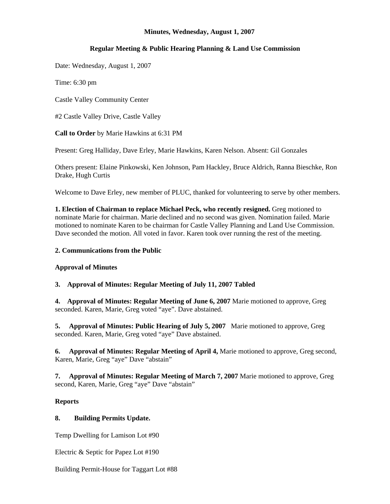### **Minutes, Wednesday, August 1, 2007**

# **Regular Meeting & Public Hearing Planning & Land Use Commission**

Date: Wednesday, August 1, 2007

Time: 6:30 pm

Castle Valley Community Center

#2 Castle Valley Drive, Castle Valley

**Call to Order** by Marie Hawkins at 6:31 PM

Present: Greg Halliday, Dave Erley, Marie Hawkins, Karen Nelson. Absent: Gil Gonzales

Others present: Elaine Pinkowski, Ken Johnson, Pam Hackley, Bruce Aldrich, Ranna Bieschke, Ron Drake, Hugh Curtis

Welcome to Dave Erley, new member of PLUC, thanked for volunteering to serve by other members.

**1. Election of Chairman to replace Michael Peck, who recently resigned.** Greg motioned to nominate Marie for chairman. Marie declined and no second was given. Nomination failed. Marie motioned to nominate Karen to be chairman for Castle Valley Planning and Land Use Commission. Dave seconded the motion. All voted in favor. Karen took over running the rest of the meeting.

### **2. Communications from the Public**

# **Approval of Minutes**

# **3. Approval of Minutes: Regular Meeting of July 11, 2007 Tabled**

**4. Approval of Minutes: Regular Meeting of June 6, 2007** Marie motioned to approve, Greg seconded. Karen, Marie, Greg voted "aye". Dave abstained.

**5. Approval of Minutes: Public Hearing of July 5, 2007** Marie motioned to approve, Greg seconded. Karen, Marie, Greg voted "aye" Dave abstained.

**6. Approval of Minutes: Regular Meeting of April 4,** Marie motioned to approve, Greg second, Karen, Marie, Greg "aye" Dave "abstain"

**7. Approval of Minutes: Regular Meeting of March 7, 2007** Marie motioned to approve, Greg second, Karen, Marie, Greg "aye" Dave "abstain"

# **Reports**

# **8. Building Permits Update.**

Temp Dwelling for Lamison Lot #90

Electric & Septic for Papez Lot #190

Building Permit-House for Taggart Lot #88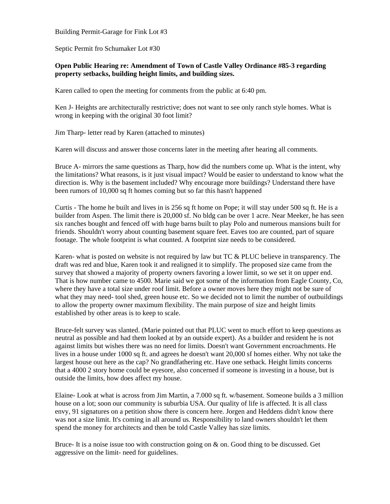Building Permit-Garage for Fink Lot #3

Septic Permit fro Schumaker Lot #30

### **Open Public Hearing re: Amendment of Town of Castle Valley Ordinance #85-3 regarding property setbacks, building height limits, and building sizes.**

Karen called to open the meeting for comments from the public at 6:40 pm.

Ken J- Heights are architecturally restrictive; does not want to see only ranch style homes. What is wrong in keeping with the original 30 foot limit?

Jim Tharp- letter read by Karen (attached to minutes)

Karen will discuss and answer those concerns later in the meeting after hearing all comments.

Bruce A- mirrors the same questions as Tharp, how did the numbers come up. What is the intent, why the limitations? What reasons, is it just visual impact? Would be easier to understand to know what the direction is. Why is the basement included? Why encourage more buildings? Understand there have been rumors of 10,000 sq ft homes coming but so far this hasn't happened

Curtis - The home he built and lives in is 256 sq ft home on Pope; it will stay under 500 sq ft. He is a builder from Aspen. The limit there is 20,000 sf. No bldg can be over 1 acre. Near Meeker, he has seen six ranches bought and fenced off with huge barns built to play Polo and numerous mansions built for friends. Shouldn't worry about counting basement square feet. Eaves too are counted, part of square footage. The whole footprint is what counted. A footprint size needs to be considered.

Karen- what is posted on website is not required by law but TC & PLUC believe in transparency. The draft was red and blue, Karen took it and realigned it to simplify. The proposed size came from the survey that showed a majority of property owners favoring a lower limit, so we set it on upper end. That is how number came to 4500. Marie said we got some of the information from Eagle County, Co, where they have a total size under roof limit. Before a owner moves here they might not be sure of what they may need- tool shed, green house etc. So we decided not to limit the number of outbuildings to allow the property owner maximum flexibility. The main purpose of size and height limits established by other areas is to keep to scale.

Bruce-felt survey was slanted. (Marie pointed out that PLUC went to much effort to keep questions as neutral as possible and had them looked at by an outside expert). As a builder and resident he is not against limits but wishes there was no need for limits. Doesn't want Government encroachments. He lives in a house under 1000 sq ft. and agrees he doesn't want 20,000 sf homes either. Why not take the largest house out here as the cap? No grandfathering etc. Have one setback. Height limits concerns that a 4000 2 story home could be eyesore, also concerned if someone is investing in a house, but is outside the limits, how does affect my house.

Elaine- Look at what is across from Jim Martin, a 7.000 sq ft. w/basement. Someone builds a 3 million house on a lot; soon our community is suburbia USA. Our quality of life is affected. It is all class envy, 91 signatures on a petition show there is concern here. Jorgen and Heddens didn't know there was not a size limit. It's coming in all around us. Responsibility to land owners shouldn't let them spend the money for architects and then be told Castle Valley has size limits.

Bruce- It is a noise issue too with construction going on & on. Good thing to be discussed. Get aggressive on the limit- need for guidelines.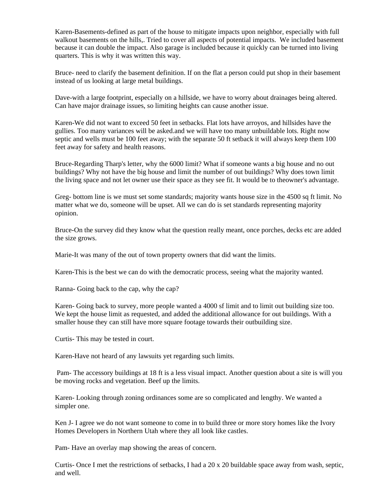Karen-Basements-defined as part of the house to mitigate impacts upon neighbor, especially with full walkout basements on the hills,. Tried to cover all aspects of potential impacts. We included basement because it can double the impact. Also garage is included because it quickly can be turned into living quarters. This is why it was written this way.

Bruce- need to clarify the basement definition. If on the flat a person could put shop in their basement instead of us looking at large metal buildings.

Dave-with a large footprint, especially on a hillside, we have to worry about drainages being altered. Can have major drainage issues, so limiting heights can cause another issue.

Karen-We did not want to exceed 50 feet in setbacks. Flat lots have arroyos, and hillsides have the gullies. Too many variances will be asked.and we will have too many unbuildable lots. Right now septic and wells must be 100 feet away; with the separate 50 ft setback it will always keep them 100 feet away for safety and health reasons.

Bruce-Regarding Tharp's letter, why the 6000 limit? What if someone wants a big house and no out buildings? Why not have the big house and limit the number of out buildings? Why does town limit the living space and not let owner use their space as they see fit. It would be to theowner's advantage.

Greg- bottom line is we must set some standards; majority wants house size in the 4500 sq ft limit. No matter what we do, someone will be upset. All we can do is set standards representing majority opinion.

Bruce-On the survey did they know what the question really meant, once porches, decks etc are added the size grows.

Marie-It was many of the out of town property owners that did want the limits.

Karen-This is the best we can do with the democratic process, seeing what the majority wanted.

Ranna- Going back to the cap, why the cap?

Karen- Going back to survey, more people wanted a 4000 sf limit and to limit out building size too. We kept the house limit as requested, and added the additional allowance for out buildings. With a smaller house they can still have more square footage towards their outbuilding size.

Curtis- This may be tested in court.

Karen-Have not heard of any lawsuits yet regarding such limits.

 Pam- The accessory buildings at 18 ft is a less visual impact. Another question about a site is will you be moving rocks and vegetation. Beef up the limits.

Karen- Looking through zoning ordinances some are so complicated and lengthy. We wanted a simpler one.

Ken J- I agree we do not want someone to come in to build three or more story homes like the Ivory Homes Developers in Northern Utah where they all look like castles.

Pam- Have an overlay map showing the areas of concern.

Curtis- Once I met the restrictions of setbacks, I had a 20 x 20 buildable space away from wash, septic, and well.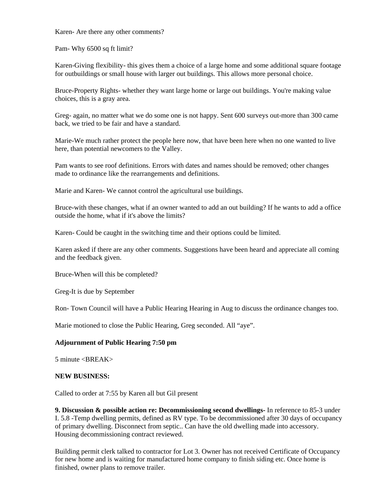Karen- Are there any other comments?

Pam- Why 6500 sq ft limit?

Karen-Giving flexibility- this gives them a choice of a large home and some additional square footage for outbuildings or small house with larger out buildings. This allows more personal choice.

Bruce-Property Rights- whether they want large home or large out buildings. You're making value choices, this is a gray area.

Greg- again, no matter what we do some one is not happy. Sent 600 surveys out-more than 300 came back, we tried to be fair and have a standard.

Marie-We much rather protect the people here now, that have been here when no one wanted to live here, than potential newcomers to the Valley.

Pam wants to see roof definitions. Errors with dates and names should be removed; other changes made to ordinance like the rearrangements and definitions.

Marie and Karen- We cannot control the agricultural use buildings.

Bruce-with these changes, what if an owner wanted to add an out building? If he wants to add a office outside the home, what if it's above the limits?

Karen- Could be caught in the switching time and their options could be limited.

Karen asked if there are any other comments. Suggestions have been heard and appreciate all coming and the feedback given.

Bruce-When will this be completed?

Greg-It is due by September

Ron- Town Council will have a Public Hearing Hearing in Aug to discuss the ordinance changes too.

Marie motioned to close the Public Hearing, Greg seconded. All "aye".

#### **Adjournment of Public Hearing 7:50 pm**

 $5$  minute  $\langle$ BREAK $>$ 

#### **NEW BUSINESS:**

Called to order at 7:55 by Karen all but Gil present

**9. Discussion & possible action re: Decommissioning second dwellings-** In reference to 85-3 under I. 5.8 -Temp dwelling permits, defined as RV type. To be decommissioned after 30 days of occupancy of primary dwelling. Disconnect from septic.. Can have the old dwelling made into accessory. Housing decommissioning contract reviewed.

Building permit clerk talked to contractor for Lot 3. Owner has not received Certificate of Occupancy for new home and is waiting for manufactured home company to finish siding etc. Once home is finished, owner plans to remove trailer.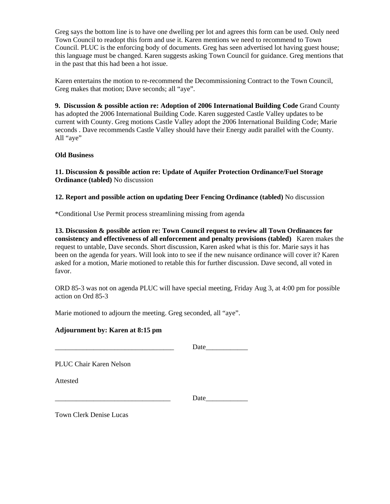Greg says the bottom line is to have one dwelling per lot and agrees this form can be used. Only need Town Council to readopt this form and use it. Karen mentions we need to recommend to Town Council. PLUC is the enforcing body of documents. Greg has seen advertised lot having guest house; this language must be changed. Karen suggests asking Town Council for guidance. Greg mentions that in the past that this had been a hot issue.

Karen entertains the motion to re-recommend the Decommissioning Contract to the Town Council, Greg makes that motion; Dave seconds; all "aye".

**9. Discussion & possible action re: Adoption of 2006 International Building Code** Grand County has adopted the 2006 International Building Code. Karen suggested Castle Valley updates to be current with County. Greg motions Castle Valley adopt the 2006 International Building Code; Marie seconds . Dave recommends Castle Valley should have their Energy audit parallel with the County. All "aye"

#### **Old Business**

**11. Discussion & possible action re: Update of Aquifer Protection Ordinance/Fuel Storage Ordinance (tabled)** No discussion

**12. Report and possible action on updating Deer Fencing Ordinance (tabled)** No discussion

\*Conditional Use Permit process streamlining missing from agenda

**13. Discussion & possible action re: Town Council request to review all Town Ordinances for consistency and effectiveness of all enforcement and penalty provisions (tabled)** Karen makes the request to untable, Dave seconds. Short discussion, Karen asked what is this for. Marie says it has been on the agenda for years. Will look into to see if the new nuisance ordinance will cover it? Karen asked for a motion, Marie motioned to retable this for further discussion. Dave second, all voted in favor.

ORD 85-3 was not on agenda PLUC will have special meeting, Friday Aug 3, at 4:00 pm for possible action on Ord 85-3

Marie motioned to adjourn the meeting. Greg seconded, all "aye".

### **Adjournment by: Karen at 8:15 pm**

Date

PLUC Chair Karen Nelson

Attested

Date

Town Clerk Denise Lucas